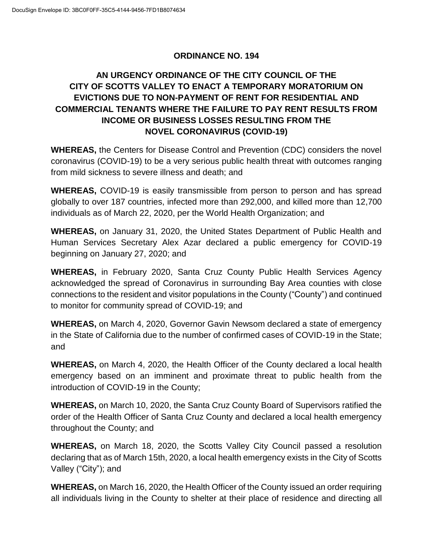### **ORDINANCE NO. 194**

# **AN URGENCY ORDINANCE OF THE CITY COUNCIL OF THE CITY OF SCOTTS VALLEY TO ENACT A TEMPORARY MORATORIUM ON EVICTIONS DUE TO NON-PAYMENT OF RENT FOR RESIDENTIAL AND COMMERCIAL TENANTS WHERE THE FAILURE TO PAY RENT RESULTS FROM INCOME OR BUSINESS LOSSES RESULTING FROM THE NOVEL CORONAVIRUS (COVID-19)**

**WHEREAS,** the Centers for Disease Control and Prevention (CDC) considers the novel coronavirus (COVID-19) to be a very serious public health threat with outcomes ranging from mild sickness to severe illness and death; and

**WHEREAS,** COVID-19 is easily transmissible from person to person and has spread globally to over 187 countries, infected more than 292,000, and killed more than 12,700 individuals as of March 22, 2020, per the World Health Organization; and

**WHEREAS,** on January 31, 2020, the United States Department of Public Health and Human Services Secretary Alex Azar declared a public emergency for COVID-19 beginning on January 27, 2020; and

**WHEREAS,** in February 2020, Santa Cruz County Public Health Services Agency acknowledged the spread of Coronavirus in surrounding Bay Area counties with close connections to the resident and visitor populations in the County ("County") and continued to monitor for community spread of COVID-19; and

**WHEREAS,** on March 4, 2020, Governor Gavin Newsom declared a state of emergency in the State of California due to the number of confirmed cases of COVID-19 in the State; and

**WHEREAS,** on March 4, 2020, the Health Officer of the County declared a local health emergency based on an imminent and proximate threat to public health from the introduction of COVID-19 in the County;

**WHEREAS,** on March 10, 2020, the Santa Cruz County Board of Supervisors ratified the order of the Health Officer of Santa Cruz County and declared a local health emergency throughout the County; and

**WHEREAS,** on March 18, 2020, the Scotts Valley City Council passed a resolution declaring that as of March 15th, 2020, a local health emergency exists in the City of Scotts Valley ("City"); and

**WHEREAS,** on March 16, 2020, the Health Officer of the County issued an order requiring all individuals living in the County to shelter at their place of residence and directing all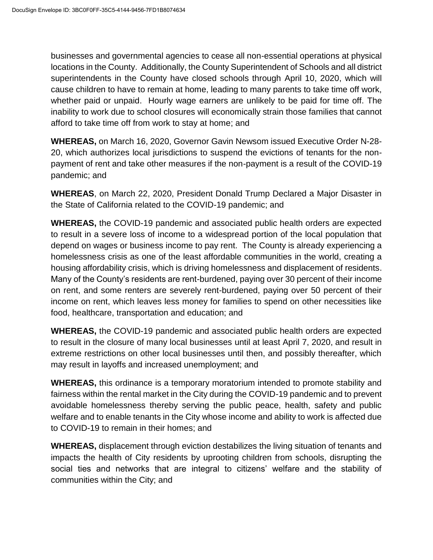businesses and governmental agencies to cease all non-essential operations at physical locations in the County. Additionally, the County Superintendent of Schools and all district superintendents in the County have closed schools through April 10, 2020, which will cause children to have to remain at home, leading to many parents to take time off work, whether paid or unpaid. Hourly wage earners are unlikely to be paid for time off. The inability to work due to school closures will economically strain those families that cannot afford to take time off from work to stay at home; and

**WHEREAS,** on March 16, 2020, Governor Gavin Newsom issued Executive Order N-28- 20, which authorizes local jurisdictions to suspend the evictions of tenants for the nonpayment of rent and take other measures if the non-payment is a result of the COVID-19 pandemic; and

**WHEREAS**, on March 22, 2020, President Donald Trump Declared a Major Disaster in the State of California related to the COVID-19 pandemic; and

**WHEREAS,** the COVID-19 pandemic and associated public health orders are expected to result in a severe loss of income to a widespread portion of the local population that depend on wages or business income to pay rent. The County is already experiencing a homelessness crisis as one of the least affordable communities in the world, creating a housing affordability crisis, which is driving homelessness and displacement of residents. Many of the County's residents are rent-burdened, paying over 30 percent of their income on rent, and some renters are severely rent-burdened, paying over 50 percent of their income on rent, which leaves less money for families to spend on other necessities like food, healthcare, transportation and education; and

**WHEREAS,** the COVID-19 pandemic and associated public health orders are expected to result in the closure of many local businesses until at least April 7, 2020, and result in extreme restrictions on other local businesses until then, and possibly thereafter, which may result in layoffs and increased unemployment; and

**WHEREAS,** this ordinance is a temporary moratorium intended to promote stability and fairness within the rental market in the City during the COVID-19 pandemic and to prevent avoidable homelessness thereby serving the public peace, health, safety and public welfare and to enable tenants in the City whose income and ability to work is affected due to COVID-19 to remain in their homes; and

**WHEREAS,** displacement through eviction destabilizes the living situation of tenants and impacts the health of City residents by uprooting children from schools, disrupting the social ties and networks that are integral to citizens' welfare and the stability of communities within the City; and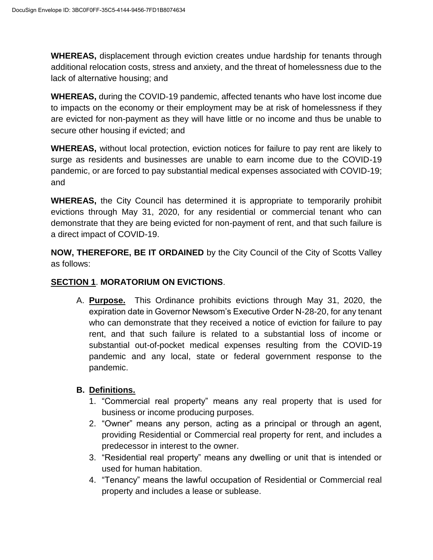**WHEREAS,** displacement through eviction creates undue hardship for tenants through additional relocation costs, stress and anxiety, and the threat of homelessness due to the lack of alternative housing; and

**WHEREAS,** during the COVID-19 pandemic, affected tenants who have lost income due to impacts on the economy or their employment may be at risk of homelessness if they are evicted for non-payment as they will have little or no income and thus be unable to secure other housing if evicted; and

**WHEREAS,** without local protection, eviction notices for failure to pay rent are likely to surge as residents and businesses are unable to earn income due to the COVID-19 pandemic, or are forced to pay substantial medical expenses associated with COVID-19; and

**WHEREAS,** the City Council has determined it is appropriate to temporarily prohibit evictions through May 31, 2020, for any residential or commercial tenant who can demonstrate that they are being evicted for non-payment of rent, and that such failure is a direct impact of COVID-19.

**NOW, THEREFORE, BE IT ORDAINED** by the City Council of the City of Scotts Valley as follows:

### **SECTION 1**. **MORATORIUM ON EVICTIONS**.

A. **Purpose.** This Ordinance prohibits evictions through May 31, 2020, the expiration date in Governor Newsom's Executive Order N-28-20, for any tenant who can demonstrate that they received a notice of eviction for failure to pay rent, and that such failure is related to a substantial loss of income or substantial out-of-pocket medical expenses resulting from the COVID-19 pandemic and any local, state or federal government response to the pandemic.

### **B. Definitions.**

- 1. "Commercial real property" means any real property that is used for business or income producing purposes.
- 2. "Owner" means any person, acting as a principal or through an agent, providing Residential or Commercial real property for rent, and includes a predecessor in interest to the owner.
- 3. "Residential real property" means any dwelling or unit that is intended or used for human habitation.
- 4. "Tenancy" means the lawful occupation of Residential or Commercial real property and includes a lease or sublease.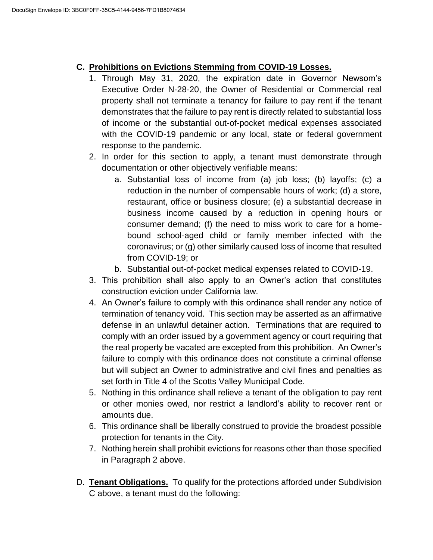## **C. Prohibitions on Evictions Stemming from COVID-19 Losses.**

- 1. Through May 31, 2020, the expiration date in Governor Newsom's Executive Order N-28-20, the Owner of Residential or Commercial real property shall not terminate a tenancy for failure to pay rent if the tenant demonstrates that the failure to pay rent is directly related to substantial loss of income or the substantial out-of-pocket medical expenses associated with the COVID-19 pandemic or any local, state or federal government response to the pandemic.
- 2. In order for this section to apply, a tenant must demonstrate through documentation or other objectively verifiable means:
	- a. Substantial loss of income from (a) job loss; (b) layoffs; (c) a reduction in the number of compensable hours of work; (d) a store, restaurant, office or business closure; (e) a substantial decrease in business income caused by a reduction in opening hours or consumer demand; (f) the need to miss work to care for a homebound school-aged child or family member infected with the coronavirus; or (g) other similarly caused loss of income that resulted from COVID-19; or
	- b. Substantial out-of-pocket medical expenses related to COVID-19.
- 3. This prohibition shall also apply to an Owner's action that constitutes construction eviction under California law.
- 4. An Owner's failure to comply with this ordinance shall render any notice of termination of tenancy void. This section may be asserted as an affirmative defense in an unlawful detainer action. Terminations that are required to comply with an order issued by a government agency or court requiring that the real property be vacated are excepted from this prohibition. An Owner's failure to comply with this ordinance does not constitute a criminal offense but will subject an Owner to administrative and civil fines and penalties as set forth in Title 4 of the Scotts Valley Municipal Code.
- 5. Nothing in this ordinance shall relieve a tenant of the obligation to pay rent or other monies owed, nor restrict a landlord's ability to recover rent or amounts due.
- 6. This ordinance shall be liberally construed to provide the broadest possible protection for tenants in the City.
- 7. Nothing herein shall prohibit evictions for reasons other than those specified in Paragraph 2 above.
- D. **Tenant Obligations.** To qualify for the protections afforded under Subdivision C above, a tenant must do the following: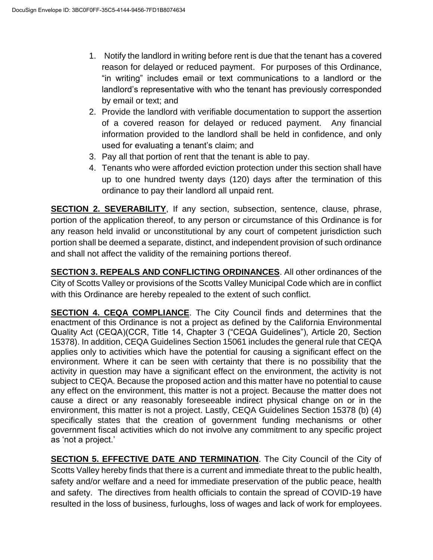- 1. Notify the landlord in writing before rent is due that the tenant has a covered reason for delayed or reduced payment. For purposes of this Ordinance, "in writing" includes email or text communications to a landlord or the landlord's representative with who the tenant has previously corresponded by email or text; and
- 2. Provide the landlord with verifiable documentation to support the assertion of a covered reason for delayed or reduced payment. Any financial information provided to the landlord shall be held in confidence, and only used for evaluating a tenant's claim; and
- 3. Pay all that portion of rent that the tenant is able to pay.
- 4. Tenants who were afforded eviction protection under this section shall have up to one hundred twenty days (120) days after the termination of this ordinance to pay their landlord all unpaid rent.

**SECTION 2. SEVERABILITY**, If any section, subsection, sentence, clause, phrase, portion of the application thereof, to any person or circumstance of this Ordinance is for any reason held invalid or unconstitutional by any court of competent jurisdiction such portion shall be deemed a separate, distinct, and independent provision of such ordinance and shall not affect the validity of the remaining portions thereof.

**SECTION 3. REPEALS AND CONFLICTING ORDINANCES**. All other ordinances of the City of Scotts Valley or provisions of the Scotts Valley Municipal Code which are in conflict with this Ordinance are hereby repealed to the extent of such conflict.

**SECTION 4. CEQA COMPLIANCE**. The City Council finds and determines that the enactment of this Ordinance is not a project as defined by the California Environmental Quality Act (CEQA)(CCR, Title 14, Chapter 3 ("CEQA Guidelines"), Article 20, Section 15378). In addition, CEQA Guidelines Section 15061 includes the general rule that CEQA applies only to activities which have the potential for causing a significant effect on the environment. Where it can be seen with certainty that there is no possibility that the activity in question may have a significant effect on the environment, the activity is not subject to CEQA. Because the proposed action and this matter have no potential to cause any effect on the environment, this matter is not a project. Because the matter does not cause a direct or any reasonably foreseeable indirect physical change on or in the environment, this matter is not a project. Lastly, CEQA Guidelines Section 15378 (b) (4) specifically states that the creation of government funding mechanisms or other government fiscal activities which do not involve any commitment to any specific project as 'not a project.'

**SECTION 5. EFFECTIVE DATE AND TERMINATION**. The City Council of the City of Scotts Valley hereby finds that there is a current and immediate threat to the public health, safety and/or welfare and a need for immediate preservation of the public peace, health and safety. The directives from health officials to contain the spread of COVID-19 have resulted in the loss of business, furloughs, loss of wages and lack of work for employees.